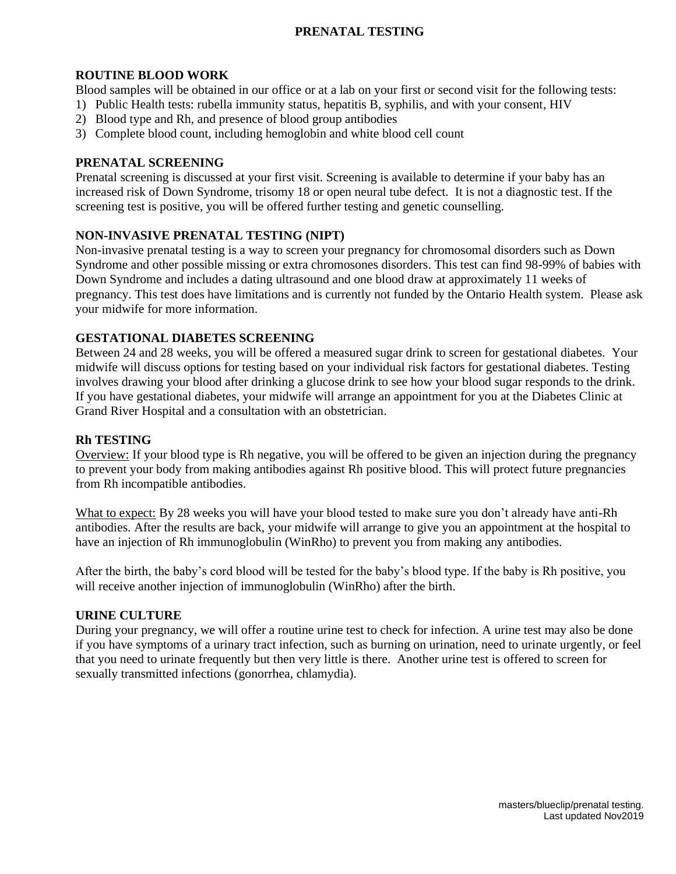# **PRENATAL TESTING**

### **ROUTINE BLOOD WORK**

Blood samples will be obtained in our office or at a lab on your first or second visit for the following tests:

- 1) Public Health tests: rubella immunity status, hepatitis B, syphilis, and with your consent, HIV
- 2) Blood type and Rh, and presence of blood group antibodies
- 3) Complete blood count, including hemoglobin and white blood cell count

### **PRENATAL SCREENING**

Prenatal screening is discussed at your first visit. Screening is available to determine if your baby has an increased risk of Down Syndrome, trisomy 18 or open neural tube defect. It is not a diagnostic test. If the screening test is positive, you will be offered further testing and genetic counselling.

### **NON-INVASIVE PRENATAL TESTING (NIPT)**

Non-invasive prenatal testing is a way to screen your pregnancy for chromosomal disorders such as Down Syndrome and other possible missing or extra chromosones disorders. This test can find 98-99% of babies with Down Syndrome and includes a dating ultrasound and one blood draw at approximately 11 weeks of pregnancy. This test does have limitations and is currently not funded by the Ontario Health system. Please ask your midwife for more information.

### **GESTATIONAL DIABETES SCREENING**

Between 24 and 28 weeks, you will be offered a measured sugar drink to screen for gestational diabetes. Your midwife will discuss options for testing based on your individual risk factors for gestational diabetes. Testing involves drawing your blood after drinking a glucose drink to see how your blood sugar responds to the drink. If you have gestational diabetes, your midwife will arrange an appointment for you at the Diabetes Clinic at Grand River Hospital and a consultation with an obstetrician.

#### **Rh TESTING**

Overview: If your blood type is Rh negative, you will be offered to be given an injection during the pregnancy to prevent your body from making antibodies against Rh positive blood. This will protect future pregnancies from Rh incompatible antibodies.

What to expect: By 28 weeks you will have your blood tested to make sure you don't already have anti-Rh antibodies. After the results are back, your midwife will arrange to give you an appointment at the hospital to have an injection of Rh immunoglobulin (WinRho) to prevent you from making any antibodies.

After the birth, the baby's cord blood will be tested for the baby's blood type. If the baby is Rh positive, you will receive another injection of immunoglobulin (WinRho) after the birth.

#### **URINE CULTURE**

During your pregnancy, we will offer a routine urine test to check for infection. A urine test may also be done if you have symptoms of a urinary tract infection, such as burning on urination, need to urinate urgently, or feel that you need to urinate frequently but then very little is there. Another urine test is offered to screen for sexually transmitted infections (gonorrhea, chlamydia).